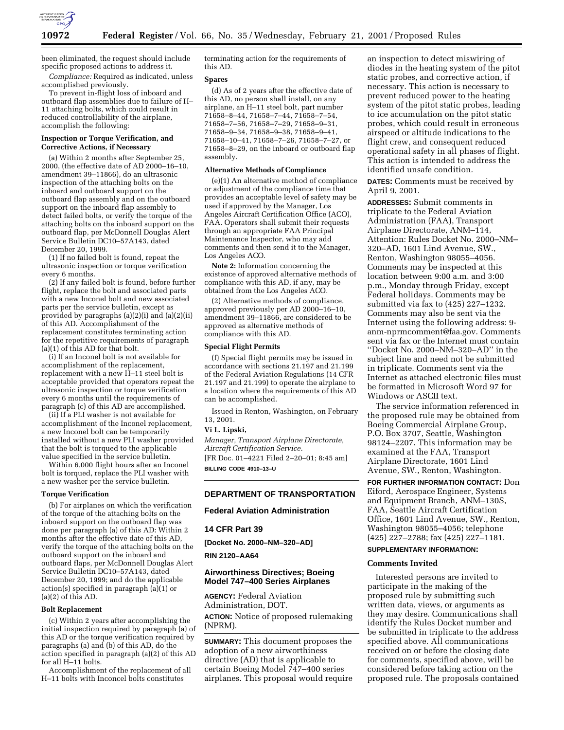

been eliminated, the request should include specific proposed actions to address it. *Compliance:* Required as indicated, unless

accomplished previously. To prevent in-flight loss of inboard and outboard flap assemblies due to failure of H–

11 attaching bolts, which could result in reduced controllability of the airplane, accomplish the following:

## **Inspection or Torque Verification, and Corrective Actions, if Necessary**

(a) Within 2 months after September 25, 2000, (the effective date of AD 2000–16–10, amendment 39–11866), do an ultrasonic inspection of the attaching bolts on the inboard and outboard support on the outboard flap assembly and on the outboard support on the inboard flap assembly to detect failed bolts, or verify the torque of the attaching bolts on the inboard support on the outboard flap, per McDonnell Douglas Alert Service Bulletin DC10–57A143, dated December 20, 1999.

(1) If no failed bolt is found, repeat the ultrasonic inspection or torque verification every 6 months.

(2) If any failed bolt is found, before further flight, replace the bolt and associated parts with a new Inconel bolt and new associated parts per the service bulletin, except as provided by paragraphs (a)(2)(i) and (a)(2)(ii) of this AD. Accomplishment of the replacement constitutes terminating action for the repetitive requirements of paragraph (a)(1) of this AD for that bolt.

(i) If an Inconel bolt is not available for accomplishment of the replacement, replacement with a new H–11 steel bolt is acceptable provided that operators repeat the ultrasonic inspection or torque verification every 6 months until the requirements of paragraph (c) of this AD are accomplished.

(ii) If a PLI washer is not available for accomplishment of the Inconel replacement, a new Inconel bolt can be temporarily installed without a new PLI washer provided that the bolt is torqued to the applicable value specified in the service bulletin.

Within 6,000 flight hours after an Inconel bolt is torqued, replace the PLI washer with a new washer per the service bulletin.

#### **Torque Verification**

(b) For airplanes on which the verification of the torque of the attaching bolts on the inboard support on the outboard flap was done per paragraph (a) of this AD: Within 2 months after the effective date of this AD, verify the torque of the attaching bolts on the outboard support on the inboard and outboard flaps, per McDonnell Douglas Alert Service Bulletin DC10–57A143, dated December 20, 1999; and do the applicable action(s) specified in paragraph  $(a)(1)$  or (a)(2) of this AD.

### **Bolt Replacement**

(c) Within 2 years after accomplishing the initial inspection required by paragraph (a) of this AD or the torque verification required by paragraphs (a) and (b) of this  $AD$ , do the action specified in paragraph (a)(2) of this AD for all H–11 bolts.

Accomplishment of the replacement of all H–11 bolts with Inconcel bolts constitutes

terminating action for the requirements of this AD.

### **Spares**

(d) As of 2 years after the effective date of this AD, no person shall install, on any airplane, an H–11 steel bolt, part number 71658–8–44, 71658–7–44, 71658–7–54, 71658–7–56, 71658–7–29, 71658–9–31, 71658–9–34, 71658–9–38, 71658–9–41, 71658–10–41, 71658–7–26, 71658–7–27, or 71658–8–29, on the inboard or outboard flap assembly.

#### **Alternative Methods of Compliance**

(e)(1) An alternative method of compliance or adjustment of the compliance time that provides an acceptable level of safety may be used if approved by the Manager, Los Angeles Aircraft Certification Office (ACO), FAA. Operators shall submit their requests through an appropriate FAA Principal Maintenance Inspector, who may add comments and then send it to the Manager, Los Angeles ACO.

**Note 2:** Information concerning the existence of approved alternative methods of compliance with this AD, if any, may be obtained from the Los Angeles ACO.

(2) Alternative methods of compliance, approved previously per AD 2000–16–10, amendment 39–11866, are considered to be approved as alternative methods of compliance with this AD.

#### **Special Flight Permits**

(f) Special flight permits may be issued in accordance with sections 21.197 and 21.199 of the Federal Aviation Regulations (14 CFR 21.197 and 21.199) to operate the airplane to a location where the requirements of this AD can be accomplished.

Issued in Renton, Washington, on February 13, 2001.

### **Vi L. Lipski,**

*Manager, Transport Airplane Directorate, Aircraft Certification Service.* [FR Doc. 01–4221 Filed 2–20–01; 8:45 am]

**BILLING CODE 4910–13–U**

# **DEPARTMENT OF TRANSPORTATION**

# **Federal Aviation Administration**

## **14 CFR Part 39**

**[Docket No. 2000–NM–320–AD]**

## **RIN 2120–AA64**

## **Airworthiness Directives; Boeing Model 747–400 Series Airplanes**

**AGENCY:** Federal Aviation Administration, DOT. **ACTION:** Notice of proposed rulemaking (NPRM).

**SUMMARY:** This document proposes the adoption of a new airworthiness directive (AD) that is applicable to certain Boeing Model 747–400 series airplanes. This proposal would require

an inspection to detect miswiring of diodes in the heating system of the pitot static probes, and corrective action, if necessary. This action is necessary to prevent reduced power to the heating system of the pitot static probes, leading to ice accumulation on the pitot static probes, which could result in erroneous airspeed or altitude indications to the flight crew, and consequent reduced operational safety in all phases of flight. This action is intended to address the identified unsafe condition.

**DATES:** Comments must be received by April 9, 2001.

**ADDRESSES:** Submit comments in triplicate to the Federal Aviation Administration (FAA), Transport Airplane Directorate, ANM–114, Attention: Rules Docket No. 2000–NM– 320–AD, 1601 Lind Avenue, SW., Renton, Washington 98055–4056. Comments may be inspected at this location between 9:00 a.m. and 3:00 p.m., Monday through Friday, except Federal holidays. Comments may be submitted via fax to (425) 227–1232. Comments may also be sent via the Internet using the following address: 9 anm-nprmcomment@faa.gov. Comments sent via fax or the Internet must contain ''Docket No. 2000–NM–320–AD'' in the subject line and need not be submitted in triplicate. Comments sent via the Internet as attached electronic files must be formatted in Microsoft Word 97 for Windows or ASCII text.

The service information referenced in the proposed rule may be obtained from Boeing Commercial Airplane Group, P.O. Box 3707, Seattle, Washington 98124–2207. This information may be examined at the FAA, Transport Airplane Directorate, 1601 Lind Avenue, SW., Renton, Washington.

**FOR FURTHER INFORMATION CONTACT:** Don Eiford, Aerospace Engineer, Systems and Equipment Branch, ANM–130S, FAA, Seattle Aircraft Certification Office, 1601 Lind Avenue, SW., Renton, Washington 98055–4056; telephone (425) 227–2788; fax (425) 227–1181.

### **SUPPLEMENTARY INFORMATION:**

#### **Comments Invited**

Interested persons are invited to participate in the making of the proposed rule by submitting such written data, views, or arguments as they may desire. Communications shall identify the Rules Docket number and be submitted in triplicate to the address specified above. All communications received on or before the closing date for comments, specified above, will be considered before taking action on the proposed rule. The proposals contained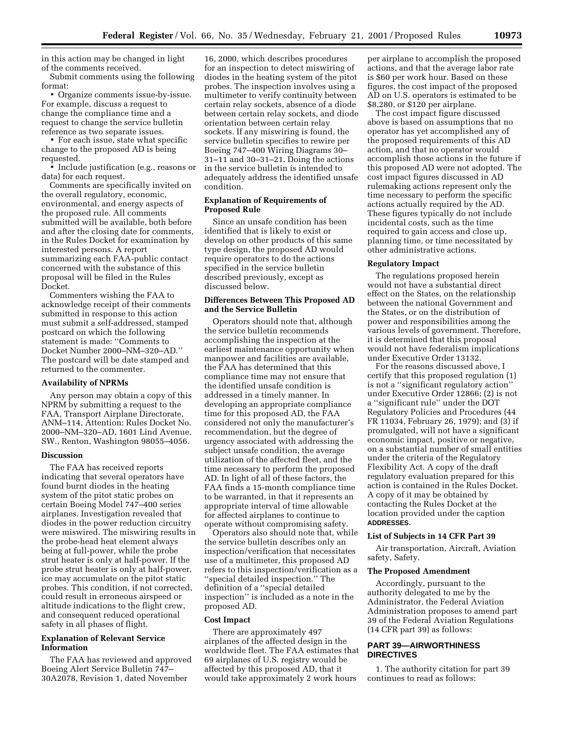in this action may be changed in light of the comments received.

Submit comments using the following format:

• Organize comments issue-by-issue. For example, discuss a request to change the compliance time and a request to change the service bulletin reference as two separate issues.

• For each issue, state what specific change to the proposed AD is being requested.

• Include justification (e.g., reasons or data) for each request.

Comments are specifically invited on the overall regulatory, economic, environmental, and energy aspects of the proposed rule. All comments submitted will be available, both before and after the closing date for comments, in the Rules Docket for examination by interested persons. A report summarizing each FAA-public contact concerned with the substance of this proposal will be filed in the Rules Docket.

Commenters wishing the FAA to acknowledge receipt of their comments submitted in response to this action must submit a self-addressed, stamped postcard on which the following statement is made: ''Comments to Docket Number 2000–NM–320–AD.'' The postcard will be date stamped and returned to the commenter.

### **Availability of NPRMs**

Any person may obtain a copy of this NPRM by submitting a request to the FAA, Transport Airplane Directorate, ANM–114, Attention: Rules Docket No. 2000–NM–320–AD, 1601 Lind Avenue, SW., Renton, Washington 98055–4056.

### **Discussion**

The FAA has received reports indicating that several operators have found burnt diodes in the heating system of the pitot static probes on certain Boeing Model 747–400 series airplanes. Investigation revealed that diodes in the power reduction circuitry were miswired. The miswiring results in the probe-head heat element always being at full-power, while the probe strut heater is only at half-power. If the probe strut heater is only at half-power, ice may accumulate on the pitot static probes. This condition, if not corrected, could result in erroneous airspeed or altitude indications to the flight crew, and consequent reduced operational safety in all phases of flight.

# **Explanation of Relevant Service Information**

The FAA has reviewed and approved Boeing Alert Service Bulletin 747– 30A2078, Revision 1, dated November

16, 2000, which describes procedures for an inspection to detect miswiring of diodes in the heating system of the pitot probes. The inspection involves using a multimeter to verify continuity between certain relay sockets, absence of a diode between certain relay sockets, and diode orientation between certain relay sockets. If any miswiring is found, the service bulletin specifies to rewire per Boeing 747–400 Wiring Diagrams 30– 31–11 and 30–31–21. Doing the actions in the service bulletin is intended to adequately address the identified unsafe condition.

## **Explanation of Requirements of Proposed Rule**

Since an unsafe condition has been identified that is likely to exist or develop on other products of this same type design, the proposed AD would require operators to do the actions specified in the service bulletin described previously, except as discussed below.

## **Differences Between This Proposed AD and the Service Bulletin**

Operators should note that, although the service bulletin recommends accomplishing the inspection at the earliest maintenance opportunity when manpower and facilities are available, the FAA has determined that this compliance time may not ensure that the identified unsafe condition is addressed in a timely manner. In developing an appropriate compliance time for this proposed AD, the FAA considered not only the manufacturer's recommendation, but the degree of urgency associated with addressing the subject unsafe condition, the average utilization of the affected fleet, and the time necessary to perform the proposed AD. In light of all of these factors, the FAA finds a 15-month compliance time to be warranted, in that it represents an appropriate interval of time allowable for affected airplanes to continue to operate without compromising safety.

Operators also should note that, while the service bulletin describes only an inspection/verification that necessitates use of a multimeter, this proposed AD refers to this inspection/verification as a ''special detailed inspection.'' The definition of a ''special detailed inspection'' is included as a note in the proposed AD.

#### **Cost Impact**

There are approximately 497 airplanes of the affected design in the worldwide fleet. The FAA estimates that 69 airplanes of U.S. registry would be affected by this proposed AD, that it would take approximately 2 work hours

per airplane to accomplish the proposed actions, and that the average labor rate is \$60 per work hour. Based on these figures, the cost impact of the proposed AD on U.S. operators is estimated to be \$8,280, or \$120 per airplane.

The cost impact figure discussed above is based on assumptions that no operator has yet accomplished any of the proposed requirements of this AD action, and that no operator would accomplish those actions in the future if this proposed AD were not adopted. The cost impact figures discussed in AD rulemaking actions represent only the time necessary to perform the specific actions actually required by the AD. These figures typically do not include incidental costs, such as the time required to gain access and close up, planning time, or time necessitated by other administrative actions.

#### **Regulatory Impact**

The regulations proposed herein would not have a substantial direct effect on the States, on the relationship between the national Government and the States, or on the distribution of power and responsibilities among the various levels of government. Therefore, it is determined that this proposal would not have federalism implications under Executive Order 13132.

For the reasons discussed above, I certify that this proposed regulation (1) is not a ''significant regulatory action'' under Executive Order 12866; (2) is not a ''significant rule'' under the DOT Regulatory Policies and Procedures (44 FR 11034, February 26, 1979); and (3) if promulgated, will not have a significant economic impact, positive or negative, on a substantial number of small entities under the criteria of the Regulatory Flexibility Act. A copy of the draft regulatory evaluation prepared for this action is contained in the Rules Docket. A copy of it may be obtained by contacting the Rules Docket at the location provided under the caption **ADDRESSES**.

## **List of Subjects in 14 CFR Part 39**

Air transportation, Aircraft, Aviation safety, Safety.

### **The Proposed Amendment**

Accordingly, pursuant to the authority delegated to me by the Administrator, the Federal Aviation Administration proposes to amend part 39 of the Federal Aviation Regulations (14 CFR part 39) as follows:

# **PART 39—AIRWORTHINESS DIRECTIVES**

1. The authority citation for part 39 continues to read as follows: